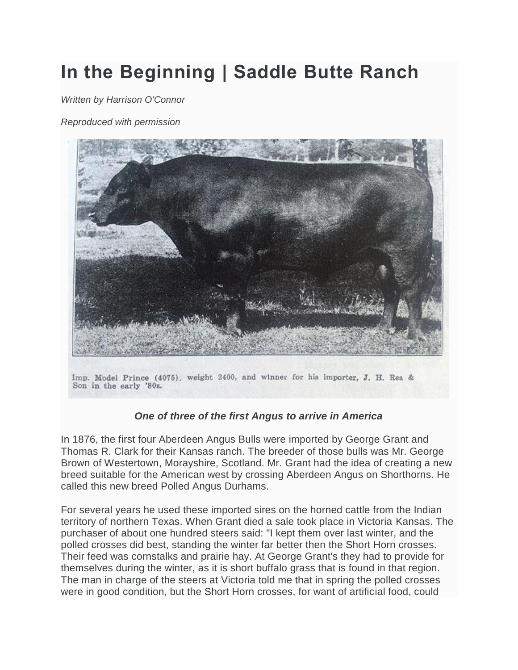## **In the Beginning | Saddle Butte Ranch**

*Written by Harrison O'Connor*

*Reproduced with permission*



Imp. Model Prince (4075), weight 2400, and winner for his importer, J. H. Rea & Son in the early '80s.

## *One of three of the first Angus to arrive in America*

In 1876, the first four Aberdeen Angus Bulls were imported by George Grant and Thomas R. Clark for their Kansas ranch. The breeder of those bulls was Mr. George Brown of Westertown, Morayshire, Scotland. Mr. Grant had the idea of creating a new breed suitable for the American west by crossing Aberdeen Angus on Shorthorns. He called this new breed Polled Angus Durhams.

For several years he used these imported sires on the horned cattle from the Indian territory of northern Texas. When Grant died a sale took place in Victoria Kansas. The purchaser of about one hundred steers said: "I kept them over last winter, and the polled crosses did best, standing the winter far better then the Short Horn crosses. Their feed was cornstalks and prairie hay. At George Grant's they had to provide for themselves during the winter, as it is short buffalo grass that is found in that region. The man in charge of the steers at Victoria told me that in spring the polled crosses were in good condition, but the Short Horn crosses, for want of artificial food, could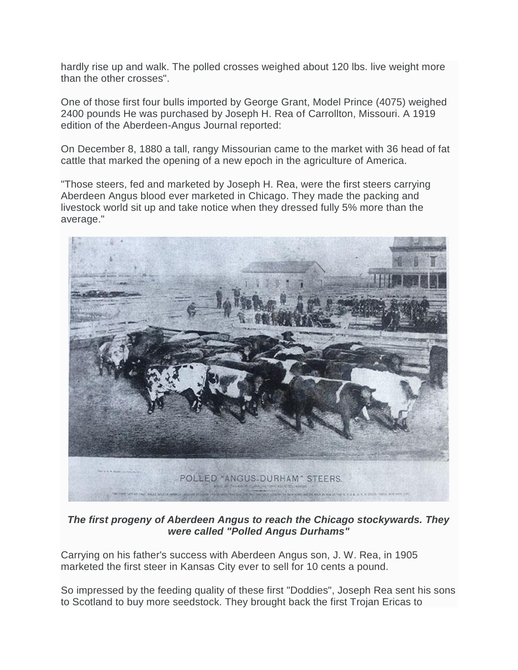hardly rise up and walk. The polled crosses weighed about 120 lbs. live weight more than the other crosses".

One of those first four bulls imported by George Grant, Model Prince (4075) weighed 2400 pounds He was purchased by Joseph H. Rea of Carrollton, Missouri. A 1919 edition of the Aberdeen-Angus Journal reported:

On December 8, 1880 a tall, rangy Missourian came to the market with 36 head of fat cattle that marked the opening of a new epoch in the agriculture of America.

"Those steers, fed and marketed by Joseph H. Rea, were the first steers carrying Aberdeen Angus blood ever marketed in Chicago. They made the packing and livestock world sit up and take notice when they dressed fully 5% more than the average."



*The first progeny of Aberdeen Angus to reach the Chicago stockywards. They were called "Polled Angus Durhams"*

Carrying on his father's success with Aberdeen Angus son, J. W. Rea, in 1905 marketed the first steer in Kansas City ever to sell for 10 cents a pound.

So impressed by the feeding quality of these first "Doddies", Joseph Rea sent his sons to Scotland to buy more seedstock. They brought back the first Trojan Ericas to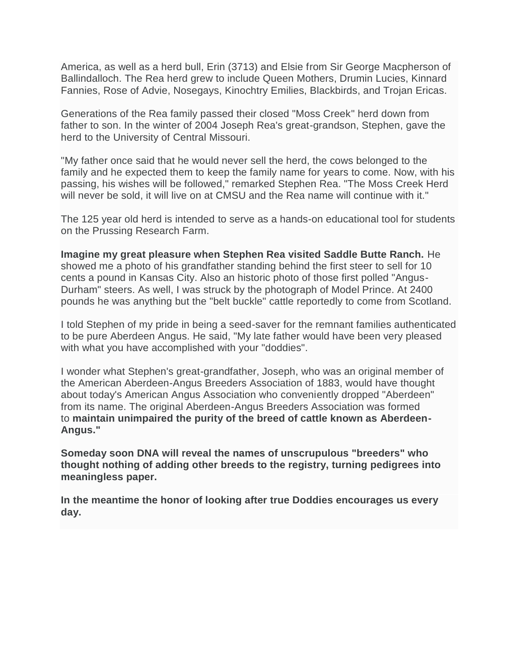America, as well as a herd bull, Erin (3713) and Elsie from Sir George Macpherson of Ballindalloch. The Rea herd grew to include Queen Mothers, Drumin Lucies, Kinnard Fannies, Rose of Advie, Nosegays, Kinochtry Emilies, Blackbirds, and Trojan Ericas.

Generations of the Rea family passed their closed "Moss Creek" herd down from father to son. In the winter of 2004 Joseph Rea's great-grandson, Stephen, gave the herd to the University of Central Missouri.

"My father once said that he would never sell the herd, the cows belonged to the family and he expected them to keep the family name for years to come. Now, with his passing, his wishes will be followed," remarked Stephen Rea. "The Moss Creek Herd will never be sold, it will live on at CMSU and the Rea name will continue with it."

The 125 year old herd is intended to serve as a hands-on educational tool for students on the Prussing Research Farm.

**Imagine my great pleasure when Stephen Rea visited Saddle Butte Ranch.** He showed me a photo of his grandfather standing behind the first steer to sell for 10 cents a pound in Kansas City. Also an historic photo of those first polled "Angus-Durham" steers. As well, I was struck by the photograph of Model Prince. At 2400 pounds he was anything but the "belt buckle" cattle reportedly to come from Scotland.

I told Stephen of my pride in being a seed-saver for the remnant families authenticated to be pure Aberdeen Angus. He said, "My late father would have been very pleased with what you have accomplished with your "doddies".

I wonder what Stephen's great-grandfather, Joseph, who was an original member of the American Aberdeen-Angus Breeders Association of 1883, would have thought about today's American Angus Association who conveniently dropped "Aberdeen" from its name. The original Aberdeen-Angus Breeders Association was formed to **maintain unimpaired the purity of the breed of cattle known as Aberdeen-Angus."**

**Someday soon DNA will reveal the names of unscrupulous "breeders" who thought nothing of adding other breeds to the registry, turning pedigrees into meaningless paper.**

**In the meantime the honor of looking after true Doddies encourages us every day.**